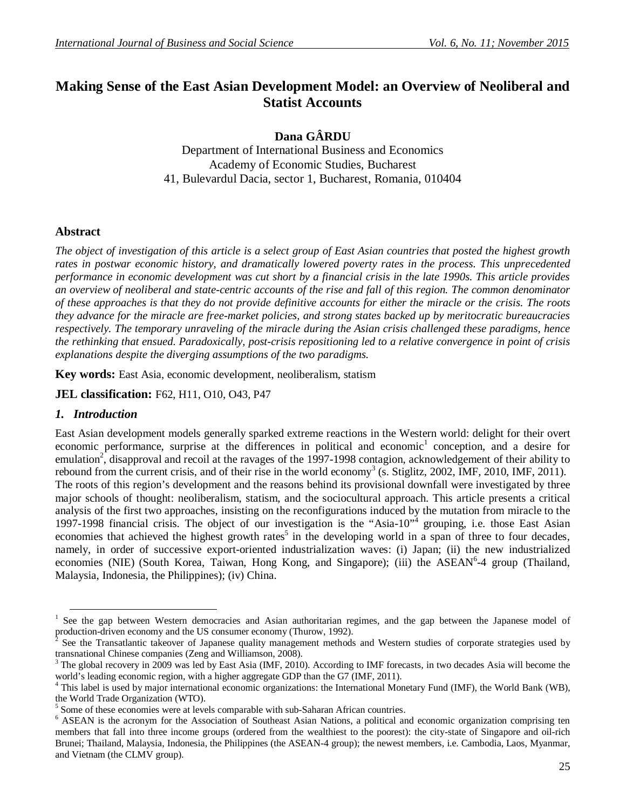# **Making Sense of the East Asian Development Model: an Overview of Neoliberal and Statist Accounts**

**Dana GÂRDU**

Department of International Business and Economics Academy of Economic Studies, Bucharest 41, Bulevardul Dacia, sector 1, Bucharest, Romania, 010404

## **Abstract**

*The object of investigation of this article is a select group of East Asian countries that posted the highest growth rates in postwar economic history, and dramatically lowered poverty rates in the process. This unprecedented performance in economic development was cut short by a financial crisis in the late 1990s. This article provides an overview of neoliberal and state-centric accounts of the rise and fall of this region. The common denominator of these approaches is that they do not provide definitive accounts for either the miracle or the crisis. The roots they advance for the miracle are free-market policies, and strong states backed up by meritocratic bureaucracies respectively. The temporary unraveling of the miracle during the Asian crisis challenged these paradigms, hence the rethinking that ensued. Paradoxically, post-crisis repositioning led to a relative convergence in point of crisis explanations despite the diverging assumptions of the two paradigms.*

**Key words:** East Asia, economic development, neoliberalism, statism

**JEL classification:** F62, H11, O10, O43, P47

## *1. Introduction*

**.** 

East Asian development models generally sparked extreme reactions in the Western world: delight for their overt economic performance, surprise at the differences in political and economic<sup>1</sup> conception, and a desire for emulation<sup>2</sup>, disapproval and recoil at the ravages of the 1997-1998 contagion, acknowledgement of their ability to rebound from the current crisis, and of their rise in the world economy<sup>3</sup> (s. Stiglitz, 2002, IMF, 2010, IMF, 2011). The roots of this region's development and the reasons behind its provisional downfall were investigated by three major schools of thought: neoliberalism, statism, and the sociocultural approach. This article presents a critical analysis of the first two approaches, insisting on the reconfigurations induced by the mutation from miracle to the 1997-1998 financial crisis. The object of our investigation is the "Asia-10"<sup>4</sup> grouping, i.e. those East Asian economies that achieved the highest growth rates<sup>5</sup> in the developing world in a span of three to four decades, namely, in order of successive export-oriented industrialization waves: (i) Japan; (ii) the new industrialized economies (NIE) (South Korea, Taiwan, Hong Kong, and Singapore); (iii) the ASEAN<sup>6</sup>-4 group (Thailand, Malaysia, Indonesia, the Philippines); (iv) China.

<sup>&</sup>lt;sup>1</sup> See the gap between Western democracies and Asian authoritarian regimes, and the gap between the Japanese model of production-driven economy and the US consumer economy (Thurow, 1992).<br><sup>2</sup> See the Transatlantic telegator of Japanese quality management method.

See the Transatlantic takeover of Japanese quality management methods and Western studies of corporate strategies used by transnational Chinese companies (Zeng and Williamson, 2008).

<sup>3</sup> The global recovery in 2009 was led by East Asia (IMF, 2010). According to IMF forecasts, in two decades Asia will become the world's leading economic region, with a higher aggregate GDP than the G7 (IMF, 2011).

<sup>4</sup> This label is used by major international economic organizations: the International Monetary Fund (IMF), the World Bank (WB), the World Trade Organization (WTO).

<sup>&</sup>lt;sup>5</sup> Some of these economies were at levels comparable with sub-Saharan African countries.

<sup>&</sup>lt;sup>6</sup> ASEAN is the acronym for the Association of Southeast Asian Nations, a political and economic organization comprising ten members that fall into three income groups (ordered from the wealthiest to the poorest): the city-state of Singapore and oil-rich Brunei; Thailand, Malaysia, Indonesia, the Philippines (the ASEAN-4 group); the newest members, i.e. Cambodia, Laos, Myanmar, and Vietnam (the CLMV group).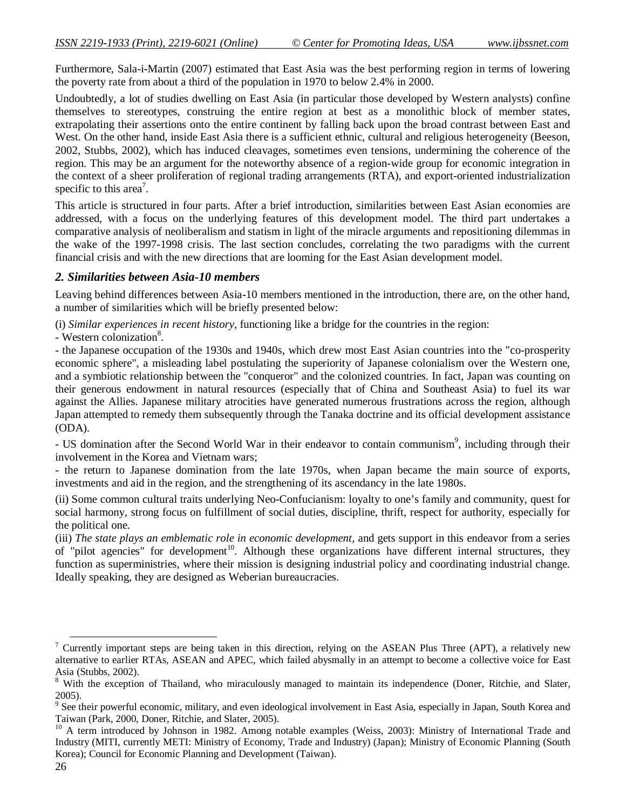Furthermore, Sala-i-Martin (2007) estimated that East Asia was the best performing region in terms of lowering the poverty rate from about a third of the population in 1970 to below 2.4% in 2000.

Undoubtedly, a lot of studies dwelling on East Asia (in particular those developed by Western analysts) confine themselves to stereotypes, construing the entire region at best as a monolithic block of member states, extrapolating their assertions onto the entire continent by falling back upon the broad contrast between East and West. On the other hand, inside East Asia there is a sufficient ethnic, cultural and religious heterogeneity (Beeson, 2002, Stubbs, 2002), which has induced cleavages, sometimes even tensions, undermining the coherence of the region. This may be an argument for the noteworthy absence of a region-wide group for economic integration in the context of a sheer proliferation of regional trading arrangements (RTA), and export-oriented industrialization specific to this area<sup>7</sup>.

This article is structured in four parts. After a brief introduction, similarities between East Asian economies are addressed, with a focus on the underlying features of this development model. The third part undertakes a comparative analysis of neoliberalism and statism in light of the miracle arguments and repositioning dilemmas in the wake of the 1997-1998 crisis. The last section concludes, correlating the two paradigms with the current financial crisis and with the new directions that are looming for the East Asian development model.

## *2. Similarities between Asia-10 members*

Leaving behind differences between Asia-10 members mentioned in the introduction, there are, on the other hand, a number of similarities which will be briefly presented below:

(i) *Similar experiences in recent history*, functioning like a bridge for the countries in the region:

- Western colonization<sup>8</sup>.

- the Japanese occupation of the 1930s and 1940s, which drew most East Asian countries into the "co-prosperity economic sphere", a misleading label postulating the superiority of Japanese colonialism over the Western one, and a symbiotic relationship between the "conqueror" and the colonized countries. In fact, Japan was counting on their generous endowment in natural resources (especially that of China and Southeast Asia) to fuel its war against the Allies. Japanese military atrocities have generated numerous frustrations across the region, although Japan attempted to remedy them subsequently through the Tanaka doctrine and its official development assistance (ODA).

- US domination after the Second World War in their endeavor to contain communism<sup>9</sup>, including through their involvement in the Korea and Vietnam wars;

- the return to Japanese domination from the late 1970s, when Japan became the main source of exports, investments and aid in the region, and the strengthening of its ascendancy in the late 1980s.

(ii) Some common cultural traits underlying Neo-Confucianism: loyalty to one's family and community, quest for social harmony, strong focus on fulfillment of social duties, discipline, thrift, respect for authority, especially for the political one.

(iii) *The state plays an emblematic role in economic development*, and gets support in this endeavor from a series of "pilot agencies" for development<sup>10</sup>. Although these organizations have different internal structures, they function as superministries, where their mission is designing industrial policy and coordinating industrial change. Ideally speaking, they are designed as Weberian bureaucracies.

-

 $<sup>7</sup>$  Currently important steps are being taken in this direction, relying on the ASEAN Plus Three (APT), a relatively new</sup> alternative to earlier RTAs, ASEAN and APEC, which failed abysmally in an attempt to become a collective voice for East Asia (Stubbs, 2002).

<sup>8</sup> With the exception of Thailand, who miraculously managed to maintain its independence (Doner, Ritchie, and Slater, 2005).

<sup>&</sup>lt;sup>9</sup> See their powerful economic, military, and even ideological involvement in East Asia, especially in Japan, South Korea and Taiwan (Park, 2000, Doner, Ritchie, and Slater, 2005).

<sup>&</sup>lt;sup>10</sup> A term introduced by Johnson in 1982. Among notable examples (Weiss, 2003): Ministry of International Trade and Industry (MITI, currently METI: Ministry of Economy, Trade and Industry) (Japan); Ministry of Economic Planning (South Korea); Council for Economic Planning and Development (Taiwan).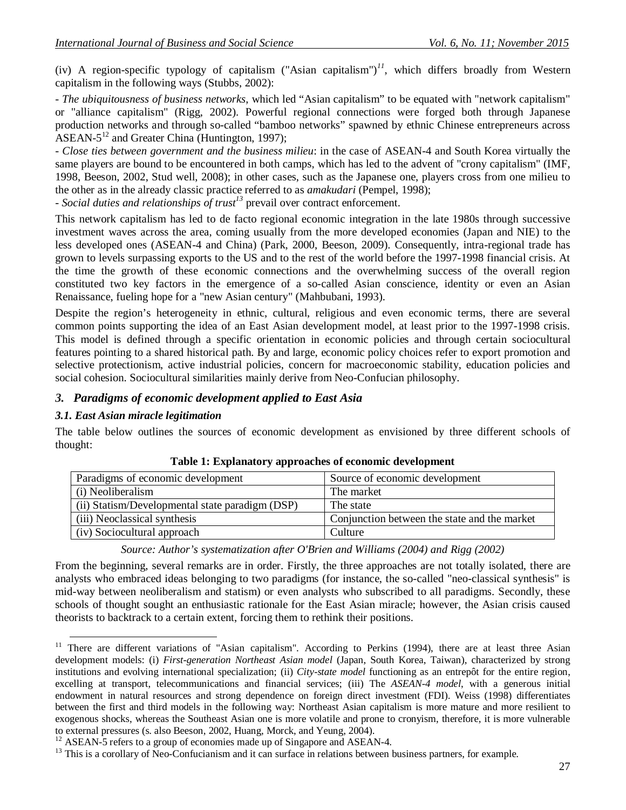(iv) A region-specific typology of capitalism ("Asian capitalism")<sup> $11$ </sup>, which differs broadly from Western capitalism in the following ways (Stubbs, 2002):

- *The ubiquitousness of business networks*, which led "Asian capitalism" to be equated with "network capitalism" or "alliance capitalism" (Rigg, 2002). Powerful regional connections were forged both through Japanese production networks and through so-called "bamboo networks" spawned by ethnic Chinese entrepreneurs across  $ASEAN-5^{12}$  and Greater China (Huntington, 1997);

- *Close ties between government and the business milieu*: in the case of ASEAN-4 and South Korea virtually the same players are bound to be encountered in both camps, which has led to the advent of "crony capitalism" (IMF, 1998, Beeson, 2002, Stud well, 2008); in other cases, such as the Japanese one, players cross from one milieu to the other as in the already classic practice referred to as *amakudari* (Pempel, 1998);

- *Social duties and relationships of trust<sup>13</sup>* prevail over contract enforcement.

This network capitalism has led to de facto regional economic integration in the late 1980s through successive investment waves across the area, coming usually from the more developed economies (Japan and NIE) to the less developed ones (ASEAN-4 and China) (Park, 2000, Beeson, 2009). Consequently, intra-regional trade has grown to levels surpassing exports to the US and to the rest of the world before the 1997-1998 financial crisis. At the time the growth of these economic connections and the overwhelming success of the overall region constituted two key factors in the emergence of a so-called Asian conscience, identity or even an Asian Renaissance, fueling hope for a "new Asian century" (Mahbubani, 1993).

Despite the region's heterogeneity in ethnic, cultural, religious and even economic terms, there are several common points supporting the idea of an East Asian development model, at least prior to the 1997-1998 crisis. This model is defined through a specific orientation in economic policies and through certain sociocultural features pointing to a shared historical path. By and large, economic policy choices refer to export promotion and selective protectionism, active industrial policies, concern for macroeconomic stability, education policies and social cohesion. Sociocultural similarities mainly derive from Neo-Confucian philosophy.

## *3. Paradigms of economic development applied to East Asia*

#### *3.1. East Asian miracle legitimation*

-

The table below outlines the sources of economic development as envisioned by three different schools of thought:

| Paradigms of economic development               | Source of economic development               |
|-------------------------------------------------|----------------------------------------------|
| (i) Neoliberalism                               | The market                                   |
| (ii) Statism/Developmental state paradigm (DSP) | The state                                    |
| (iii) Neoclassical synthesis                    | Conjunction between the state and the market |
| (iv) Sociocultural approach                     | Culture                                      |

**Table 1: Explanatory approaches of economic development**

*Source: Author's systematization after O'Brien and Williams (2004) and Rigg (2002)*

From the beginning, several remarks are in order. Firstly, the three approaches are not totally isolated, there are analysts who embraced ideas belonging to two paradigms (for instance, the so-called "neo-classical synthesis" is mid-way between neoliberalism and statism) or even analysts who subscribed to all paradigms. Secondly, these schools of thought sought an enthusiastic rationale for the East Asian miracle; however, the Asian crisis caused theorists to backtrack to a certain extent, forcing them to rethink their positions.

<sup>&</sup>lt;sup>11</sup> There are different variations of "Asian capitalism". According to Perkins (1994), there are at least three Asian development models: (i) *First-generation Northeast Asian model* (Japan, South Korea, Taiwan), characterized by strong institutions and evolving international specialization; (ii) *City-state model* functioning as an entrepôt for the entire region, excelling at transport, telecommunications and financial services; (iii) The *ASEAN-4 model*, with a generous initial endowment in natural resources and strong dependence on foreign direct investment (FDI). Weiss (1998) differentiates between the first and third models in the following way: Northeast Asian capitalism is more mature and more resilient to exogenous shocks, whereas the Southeast Asian one is more volatile and prone to cronyism, therefore, it is more vulnerable to external pressures (s. also Beeson, 2002, Huang, Morck, and Yeung, 2004).

 $12$  ASEAN-5 refers to a group of economies made up of Singapore and ASEAN-4.

<sup>&</sup>lt;sup>13</sup> This is a corollary of Neo-Confucianism and it can surface in relations between business partners, for example.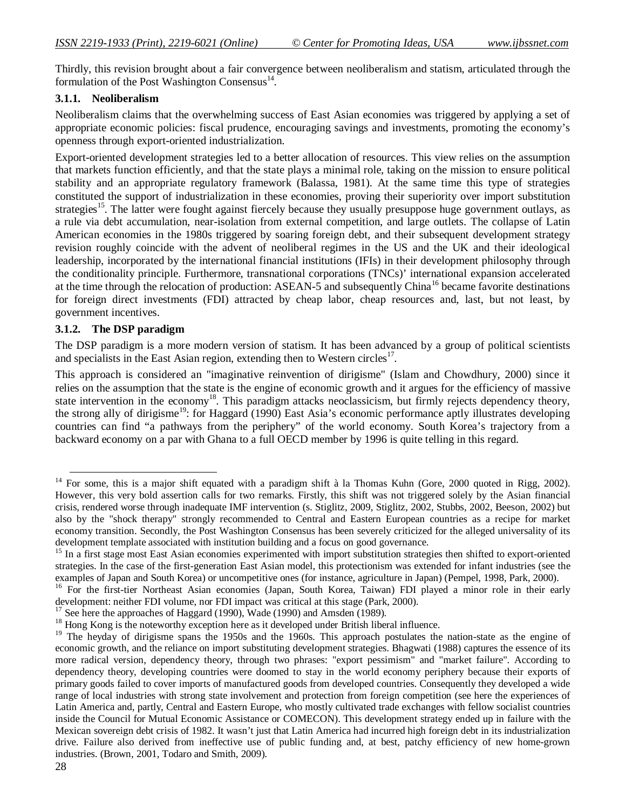Thirdly, this revision brought about a fair convergence between neoliberalism and statism, articulated through the formulation of the Post Washington Consensus<sup>14</sup>.

## **3.1.1. Neoliberalism**

Neoliberalism claims that the overwhelming success of East Asian economies was triggered by applying a set of appropriate economic policies: fiscal prudence, encouraging savings and investments, promoting the economy's openness through export-oriented industrialization.

Export-oriented development strategies led to a better allocation of resources. This view relies on the assumption that markets function efficiently, and that the state plays a minimal role, taking on the mission to ensure political stability and an appropriate regulatory framework (Balassa, 1981). At the same time this type of strategies constituted the support of industrialization in these economies, proving their superiority over import substitution strategies<sup>15</sup>. The latter were fought against fiercely because they usually presuppose huge government outlays, as a rule via debt accumulation, near-isolation from external competition, and large outlets. The collapse of Latin American economies in the 1980s triggered by soaring foreign debt, and their subsequent development strategy revision roughly coincide with the advent of neoliberal regimes in the US and the UK and their ideological leadership, incorporated by the international financial institutions (IFIs) in their development philosophy through the conditionality principle. Furthermore, transnational corporations (TNCs)' international expansion accelerated at the time through the relocation of production: ASEAN-5 and subsequently China<sup>16</sup> became favorite destinations for foreign direct investments (FDI) attracted by cheap labor, cheap resources and, last, but not least, by government incentives.

## **3.1.2. The DSP paradigm**

The DSP paradigm is a more modern version of statism. It has been advanced by a group of political scientists and specialists in the East Asian region, extending then to Western circles<sup>17</sup>.

This approach is considered an "imaginative reinvention of dirigisme" (Islam and Chowdhury, 2000) since it relies on the assumption that the state is the engine of economic growth and it argues for the efficiency of massive state intervention in the economy<sup>18</sup>. This paradigm attacks neoclassicism, but firmly rejects dependency theory, the strong ally of dirigisme<sup>19</sup>: for Haggard (1990) East Asia's economic performance aptly illustrates developing countries can find "a pathways from the periphery" of the world economy. South Korea's trajectory from a backward economy on a par with Ghana to a full OECD member by 1996 is quite telling in this regard.

1

<sup>&</sup>lt;sup>14</sup> For some, this is a major shift equated with a paradigm shift à la Thomas Kuhn (Gore, 2000 quoted in Rigg, 2002). However, this very bold assertion calls for two remarks. Firstly, this shift was not triggered solely by the Asian financial crisis, rendered worse through inadequate IMF intervention (s. Stiglitz, 2009, Stiglitz, 2002, Stubbs, 2002, Beeson, 2002) but also by the "shock therapy" strongly recommended to Central and Eastern European countries as a recipe for market economy transition. Secondly, the Post Washington Consensus has been severely criticized for the alleged universality of its development template associated with institution building and a focus on good governance.

<sup>&</sup>lt;sup>15</sup> In a first stage most East Asian economies experimented with import substitution strategies then shifted to export-oriented strategies. In the case of the first-generation East Asian model, this protectionism was extended for infant industries (see the examples of Japan and South Korea) or uncompetitive ones (for instance, agriculture in Japan) (Pempel, 1998, Park, 2000).

<sup>&</sup>lt;sup>16</sup> For the first-tier Northeast Asian economies (Japan, South Korea, Taiwan) FDI played a minor role in their early development: neither FDI volume, nor FDI impact was critical at this stage (Park, 2000).

<sup>&</sup>lt;sup>17</sup> See here the approaches of Haggard (1990), Wade (1990) and Amsden (1989).

<sup>&</sup>lt;sup>18</sup> Hong Kong is the noteworthy exception here as it developed under British liberal influence.

<sup>&</sup>lt;sup>19</sup> The heyday of dirigisme spans the 1950s and the 1960s. This approach postulates the nation-state as the engine of economic growth, and the reliance on import substituting development strategies. Bhagwati (1988) captures the essence of its more radical version, dependency theory, through two phrases: "export pessimism" and "market failure". According to dependency theory, developing countries were doomed to stay in the world economy periphery because their exports of primary goods failed to cover imports of manufactured goods from developed countries. Consequently they developed a wide range of local industries with strong state involvement and protection from foreign competition (see here the experiences of Latin America and, partly, Central and Eastern Europe, who mostly cultivated trade exchanges with fellow socialist countries inside the Council for Mutual Economic Assistance or COMECON). This development strategy ended up in failure with the Mexican sovereign debt crisis of 1982. It wasn't just that Latin America had incurred high foreign debt in its industrialization drive. Failure also derived from ineffective use of public funding and, at best, patchy efficiency of new home-grown industries. (Brown, 2001, Todaro and Smith, 2009).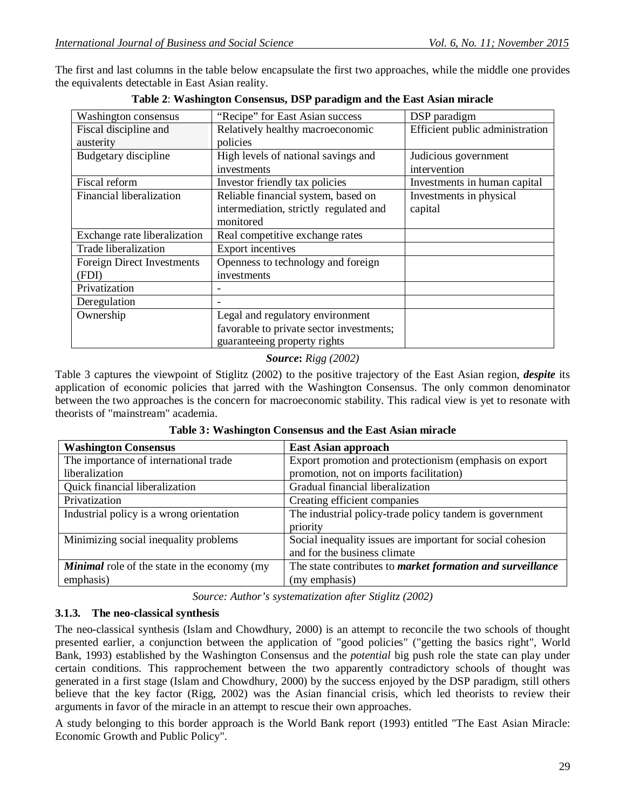The first and last columns in the table below encapsulate the first two approaches, while the middle one provides the equivalents detectable in East Asian reality.

| "Recipe" for East Asian success<br>Washington consensus |                                          | DSP paradigm                    |  |  |
|---------------------------------------------------------|------------------------------------------|---------------------------------|--|--|
| Fiscal discipline and                                   | Relatively healthy macroeconomic         | Efficient public administration |  |  |
| austerity                                               | policies                                 |                                 |  |  |
| Budgetary discipline                                    | High levels of national savings and      | Judicious government            |  |  |
|                                                         | investments                              | intervention                    |  |  |
| Fiscal reform                                           | Investor friendly tax policies           | Investments in human capital    |  |  |
| Financial liberalization                                | Reliable financial system, based on      | Investments in physical         |  |  |
|                                                         | intermediation, strictly regulated and   | capital                         |  |  |
|                                                         | monitored                                |                                 |  |  |
| Exchange rate liberalization                            | Real competitive exchange rates          |                                 |  |  |
| Trade liberalization                                    | <b>Export incentives</b>                 |                                 |  |  |
| <b>Foreign Direct Investments</b>                       | Openness to technology and foreign       |                                 |  |  |
| (FDI)                                                   | investments                              |                                 |  |  |
| Privatization                                           |                                          |                                 |  |  |
| Deregulation                                            |                                          |                                 |  |  |
| Ownership                                               | Legal and regulatory environment         |                                 |  |  |
|                                                         | favorable to private sector investments; |                                 |  |  |
|                                                         | guaranteeing property rights             |                                 |  |  |

|  | Table 2: Washington Consensus, DSP paradigm and the East Asian miracle |
|--|------------------------------------------------------------------------|
|--|------------------------------------------------------------------------|

## *Source***:** *Rigg (2002)*

Table 3 captures the viewpoint of Stiglitz (2002) to the positive trajectory of the East Asian region, *despite* its application of economic policies that jarred with the Washington Consensus. The only common denominator between the two approaches is the concern for macroeconomic stability. This radical view is yet to resonate with theorists of "mainstream" academia.

| <b>Washington Consensus</b>                         | <b>East Asian approach</b>                                 |  |
|-----------------------------------------------------|------------------------------------------------------------|--|
| The importance of international trade               | Export promotion and protectionism (emphasis on export     |  |
| liberalization                                      | promotion, not on imports facilitation)                    |  |
| Quick financial liberalization                      | Gradual financial liberalization                           |  |
| Privatization                                       | Creating efficient companies                               |  |
| Industrial policy is a wrong orientation            | The industrial policy-trade policy tandem is government    |  |
|                                                     | priority                                                   |  |
| Minimizing social inequality problems               | Social inequality issues are important for social cohesion |  |
|                                                     | and for the business climate                               |  |
| <b>Minimal</b> role of the state in the economy (my | The state contributes to market formation and surveillance |  |
| emphasis)                                           | (my emphasis)                                              |  |

#### **Table 3: Washington Consensus and the East Asian miracle**

*Source: Author's systematization after Stiglitz (2002)*

## **3.1.3. The neo-classical synthesis**

The neo-classical synthesis (Islam and Chowdhury, 2000) is an attempt to reconcile the two schools of thought presented earlier, a conjunction between the application of "good policies" ("getting the basics right", World Bank, 1993) established by the Washington Consensus and the *potential* big push role the state can play under certain conditions. This rapprochement between the two apparently contradictory schools of thought was generated in a first stage (Islam and Chowdhury, 2000) by the success enjoyed by the DSP paradigm, still others believe that the key factor (Rigg, 2002) was the Asian financial crisis, which led theorists to review their arguments in favor of the miracle in an attempt to rescue their own approaches.

A study belonging to this border approach is the World Bank report (1993) entitled "The East Asian Miracle: Economic Growth and Public Policy".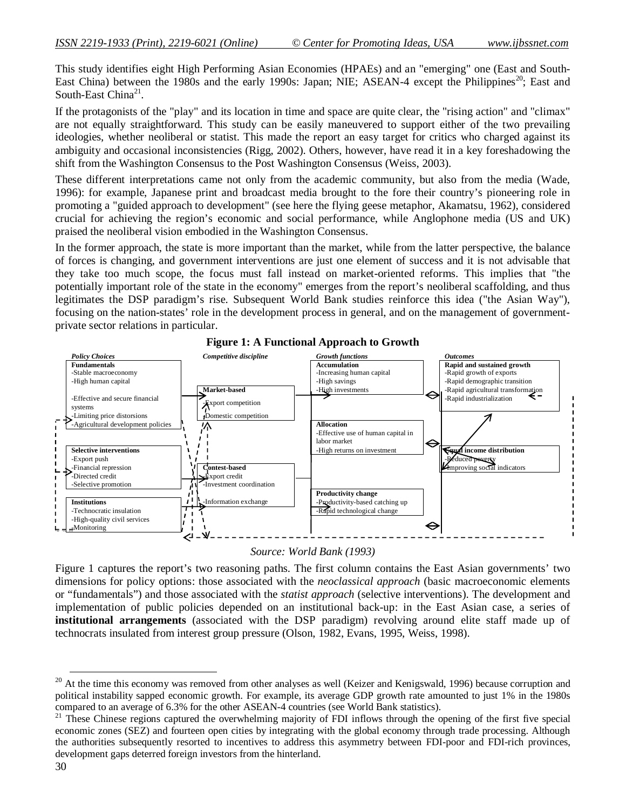This study identifies eight High Performing Asian Economies (HPAEs) and an "emerging" one (East and South-East China) between the 1980s and the early 1990s: Japan; NIE; ASEAN-4 except the Philippines<sup>20</sup>; East and South-East China<sup>21</sup>.

If the protagonists of the "play" and its location in time and space are quite clear, the "rising action" and "climax" are not equally straightforward. This study can be easily maneuvered to support either of the two prevailing ideologies, whether neoliberal or statist. This made the report an easy target for critics who charged against its ambiguity and occasional inconsistencies (Rigg, 2002). Others, however, have read it in a key foreshadowing the shift from the Washington Consensus to the Post Washington Consensus (Weiss, 2003).

These different interpretations came not only from the academic community, but also from the media (Wade, 1996): for example, Japanese print and broadcast media brought to the fore their country's pioneering role in promoting a "guided approach to development" (see here the flying geese metaphor, Akamatsu, 1962), considered crucial for achieving the region's economic and social performance, while Anglophone media (US and UK) praised the neoliberal vision embodied in the Washington Consensus.

In the former approach, the state is more important than the market, while from the latter perspective, the balance of forces is changing, and government interventions are just one element of success and it is not advisable that they take too much scope, the focus must fall instead on market-oriented reforms. This implies that "the potentially important role of the state in the economy" emerges from the report's neoliberal scaffolding, and thus legitimates the DSP paradigm's rise. Subsequent World Bank studies reinforce this idea ("the Asian Way"), focusing on the nation-states' role in the development process in general, and on the management of governmentprivate sector relations in particular.



# **Figure 1: A Functional Approach to Growth**

*Source: World Bank (1993)*

Figure 1 captures the report's two reasoning paths. The first column contains the East Asian governments' two dimensions for policy options: those associated with the *neoclassical approach* (basic macroeconomic elements or "fundamentals") and those associated with the *statist approach* (selective interventions). The development and implementation of public policies depended on an institutional back-up: in the East Asian case, a series of **institutional arrangements** (associated with the DSP paradigm) revolving around elite staff made up of technocrats insulated from interest group pressure (Olson, 1982, Evans, 1995, Weiss, 1998).

**.** 

<sup>&</sup>lt;sup>20</sup> At the time this economy was removed from other analyses as well (Keizer and Kenigswald, 1996) because corruption and political instability sapped economic growth. For example, its average GDP growth rate amounted to just 1% in the 1980s compared to an average of 6.3% for the other ASEAN-4 countries (see World Bank statistics).

<sup>&</sup>lt;sup>21</sup> These Chinese regions captured the overwhelming majority of FDI inflows through the opening of the first five special economic zones (SEZ) and fourteen open cities by integrating with the global economy through trade processing. Although the authorities subsequently resorted to incentives to address this asymmetry between FDI-poor and FDI-rich provinces, development gaps deterred foreign investors from the hinterland.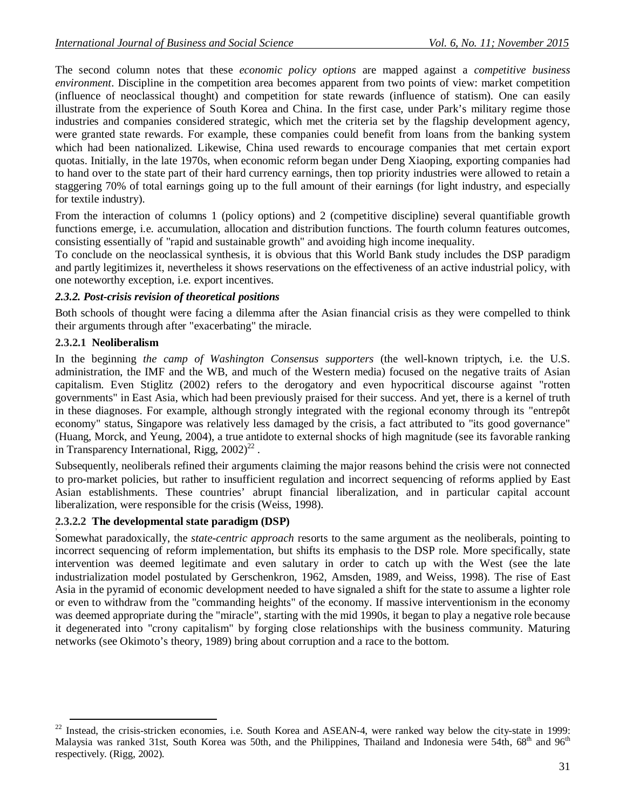The second column notes that these *economic policy options* are mapped against a *competitive business environment*. Discipline in the competition area becomes apparent from two points of view: market competition (influence of neoclassical thought) and competition for state rewards (influence of statism). One can easily illustrate from the experience of South Korea and China. In the first case, under Park's military regime those industries and companies considered strategic, which met the criteria set by the flagship development agency, were granted state rewards. For example, these companies could benefit from loans from the banking system which had been nationalized. Likewise, China used rewards to encourage companies that met certain export quotas. Initially, in the late 1970s, when economic reform began under Deng Xiaoping, exporting companies had to hand over to the state part of their hard currency earnings, then top priority industries were allowed to retain a staggering 70% of total earnings going up to the full amount of their earnings (for light industry, and especially for textile industry).

From the interaction of columns 1 (policy options) and 2 (competitive discipline) several quantifiable growth functions emerge, i.e. accumulation, allocation and distribution functions. The fourth column features outcomes, consisting essentially of "rapid and sustainable growth" and avoiding high income inequality.

To conclude on the neoclassical synthesis, it is obvious that this World Bank study includes the DSP paradigm and partly legitimizes it, nevertheless it shows reservations on the effectiveness of an active industrial policy, with one noteworthy exception, i.e. export incentives.

## *2.3.2. Post-crisis revision of theoretical positions*

Both schools of thought were facing a dilemma after the Asian financial crisis as they were compelled to think their arguments through after "exacerbating" the miracle.

## **2.3.2.1 Neoliberalism**

In the beginning *the camp of Washington Consensus supporters* (the well-known triptych, i.e. the U.S. administration, the IMF and the WB, and much of the Western media) focused on the negative traits of Asian capitalism. Even Stiglitz (2002) refers to the derogatory and even hypocritical discourse against "rotten governments" in East Asia, which had been previously praised for their success. And yet, there is a kernel of truth in these diagnoses. For example, although strongly integrated with the regional economy through its "entrepôt economy" status, Singapore was relatively less damaged by the crisis, a fact attributed to "its good governance" (Huang, Morck, and Yeung, 2004), a true antidote to external shocks of high magnitude (see its favorable ranking in Transparency International, Rigg,  $2002)^{22}$ .

Subsequently, neoliberals refined their arguments claiming the major reasons behind the crisis were not connected to pro-market policies, but rather to insufficient regulation and incorrect sequencing of reforms applied by East Asian establishments. These countries' abrupt financial liberalization, and in particular capital account liberalization, were responsible for the crisis (Weiss, 1998).

#### **2.3.2.2 The developmental state paradigm (DSP)**

Somewhat paradoxically, the *state-centric approach* resorts to the same argument as the neoliberals, pointing to incorrect sequencing of reform implementation, but shifts its emphasis to the DSP role. More specifically, state intervention was deemed legitimate and even salutary in order to catch up with the West (see the late industrialization model postulated by Gerschenkron, 1962, Amsden, 1989, and Weiss, 1998). The rise of East Asia in the pyramid of economic development needed to have signaled a shift for the state to assume a lighter role or even to withdraw from the "commanding heights" of the economy. If massive interventionism in the economy was deemed appropriate during the "miracle", starting with the mid 1990s, it began to play a negative role because it degenerated into "crony capitalism" by forging close relationships with the business community. Maturing networks (see Okimoto's theory, 1989) bring about corruption and a race to the bottom.

**<sup>.</sup>**  $22$  Instead, the crisis-stricken economies, i.e. South Korea and ASEAN-4, were ranked way below the city-state in 1999: Malaysia was ranked 31st, South Korea was 50th, and the Philippines, Thailand and Indonesia were 54th,  $68<sup>th</sup>$  and  $96<sup>th</sup>$ respectively. (Rigg, 2002).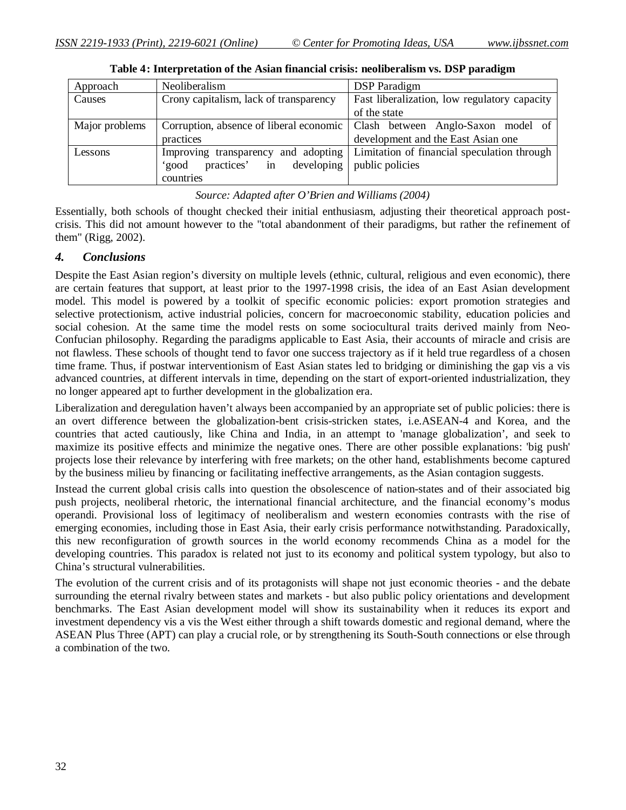| Approach       | <b>Neoliberalism</b>                    | <b>DSP</b> Paradigm                                                             |  |  |
|----------------|-----------------------------------------|---------------------------------------------------------------------------------|--|--|
| Causes         | Crony capitalism, lack of transparency  | Fast liberalization, low regulatory capacity                                    |  |  |
|                |                                         | of the state                                                                    |  |  |
| Major problems |                                         | Corruption, absence of liberal economic   Clash between Anglo-Saxon model of    |  |  |
|                | practices                               | development and the East Asian one                                              |  |  |
| Lessons        |                                         | Improving transparency and adopting Limitation of financial speculation through |  |  |
|                | developing<br>practices'<br>in<br>'good | public policies                                                                 |  |  |
|                | countries                               |                                                                                 |  |  |

|  |  |  |  |  | Table 4: Interpretation of the Asian financial crisis: neoliberalism vs. DSP paradigm |
|--|--|--|--|--|---------------------------------------------------------------------------------------|
|--|--|--|--|--|---------------------------------------------------------------------------------------|

#### *Source: Adapted after O'Brien and Williams (2004)*

Essentially, both schools of thought checked their initial enthusiasm, adjusting their theoretical approach postcrisis. This did not amount however to the "total abandonment of their paradigms, but rather the refinement of them" (Rigg, 2002).

## *4. Conclusions*

Despite the East Asian region's diversity on multiple levels (ethnic, cultural, religious and even economic), there are certain features that support, at least prior to the 1997-1998 crisis, the idea of an East Asian development model. This model is powered by a toolkit of specific economic policies: export promotion strategies and selective protectionism, active industrial policies, concern for macroeconomic stability, education policies and social cohesion. At the same time the model rests on some sociocultural traits derived mainly from Neo-Confucian philosophy. Regarding the paradigms applicable to East Asia, their accounts of miracle and crisis are not flawless. These schools of thought tend to favor one success trajectory as if it held true regardless of a chosen time frame. Thus, if postwar interventionism of East Asian states led to bridging or diminishing the gap vis a vis advanced countries, at different intervals in time, depending on the start of export-oriented industrialization, they no longer appeared apt to further development in the globalization era.

Liberalization and deregulation haven't always been accompanied by an appropriate set of public policies: there is an overt difference between the globalization-bent crisis-stricken states, i.e.ASEAN-4 and Korea, and the countries that acted cautiously, like China and India, in an attempt to 'manage globalization', and seek to maximize its positive effects and minimize the negative ones. There are other possible explanations: 'big push' projects lose their relevance by interfering with free markets; on the other hand, establishments become captured by the business milieu by financing or facilitating ineffective arrangements, as the Asian contagion suggests.

Instead the current global crisis calls into question the obsolescence of nation-states and of their associated big push projects, neoliberal rhetoric, the international financial architecture, and the financial economy's modus operandi. Provisional loss of legitimacy of neoliberalism and western economies contrasts with the rise of emerging economies, including those in East Asia, their early crisis performance notwithstanding. Paradoxically, this new reconfiguration of growth sources in the world economy recommends China as a model for the developing countries. This paradox is related not just to its economy and political system typology, but also to China's structural vulnerabilities.

The evolution of the current crisis and of its protagonists will shape not just economic theories - and the debate surrounding the eternal rivalry between states and markets - but also public policy orientations and development benchmarks. The East Asian development model will show its sustainability when it reduces its export and investment dependency vis a vis the West either through a shift towards domestic and regional demand, where the ASEAN Plus Three (APT) can play a crucial role, or by strengthening its South-South connections or else through a combination of the two.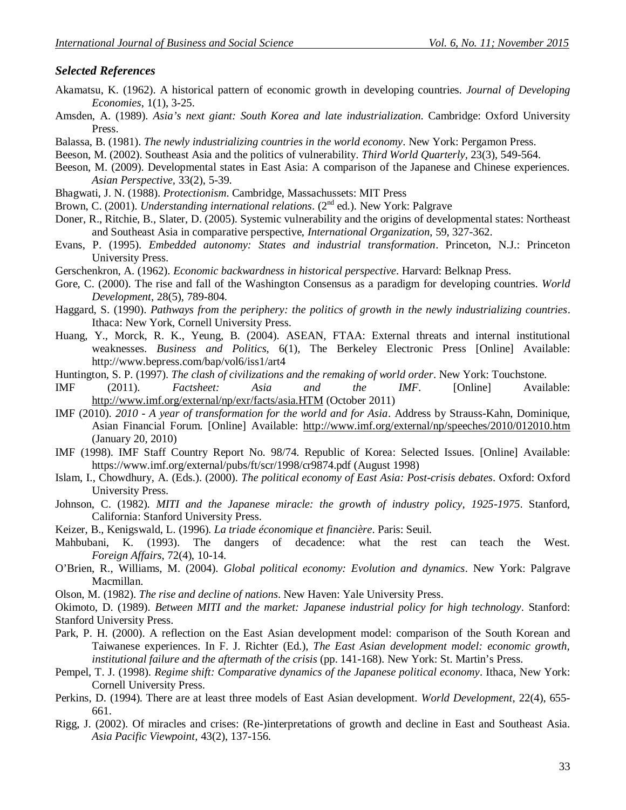#### *Selected References*

- Akamatsu, K. (1962). A historical pattern of economic growth in developing countries. *Journal of Developing Economies*, 1(1), 3-25.
- Amsden, A. (1989). *Asia's next giant: South Korea and late industrialization*. Cambridge: Oxford University Press.
- Balassa, B. (1981). *The newly industrializing countries in the world economy*. New York: Pergamon Press.
- Beeson, M. (2002). Southeast Asia and the politics of vulnerability. *Third World Quarterly,* 23(3), 549-564.
- Beeson, M. (2009). Developmental states in East Asia: A comparison of the Japanese and Chinese experiences. *Asian Perspective,* 33(2), 5-39.
- Bhagwati, J. N. (1988). *Protectionism*. Cambridge, Massachussets: MIT Press
- Brown, C. (2001). *Understanding international relations*. (2<sup>nd</sup> ed.). New York: Palgrave
- Doner, R., Ritchie, B., Slater, D. (2005). Systemic vulnerability and the origins of developmental states: Northeast and Southeast Asia in comparative perspective, *International Organization*, 59, 327-362.
- Evans, P. (1995). *Embedded autonomy: States and industrial transformation*. Princeton, N.J.: Princeton University Press.
- Gerschenkron, A. (1962). *Economic backwardness in historical perspective*. Harvard: Belknap Press.
- Gore, C. (2000). The rise and fall of the Washington Consensus as a paradigm for developing countries. *World Development*, 28(5), 789-804.
- Haggard, S. (1990). *Pathways from the periphery: the politics of growth in the newly industrializing countries*. Ithaca: New York, Cornell University Press.
- Huang, Y., Morck, R. K., Yeung, B. (2004). ASEAN, FTAA: External threats and internal institutional weaknesses. *Business and Politics*, 6(1), The Berkeley Electronic Press [Online] Available: http://www.bepress.com/bap/vol6/iss1/art4
- Huntington, S. P. (1997). *The clash of civilizations and the remaking of world order*. New York: Touchstone.
- IMF (2011). *Factsheet: Asia and the IMF*. [Online] Available: http://www.imf.org/external/np/exr/facts/asia.HTM (October 2011)
- IMF (2010). *2010 - A year of transformation for the world and for Asia*. Address by Strauss-Kahn, Dominique, Asian Financial Forum. [Online] Available: http://www.imf.org/external/np/speeches/2010/012010.htm (January 20, 2010)
- IMF (1998). IMF Staff Country Report No. 98/74. Republic of Korea: Selected Issues. [Online] Available: https://www.imf.org/external/pubs/ft/scr/1998/cr9874.pdf (August 1998)
- Islam, I., Chowdhury, A. (Eds.). (2000). *The political economy of East Asia: Post-crisis debates*. Oxford: Oxford University Press.
- Johnson, C. (1982). *MITI and the Japanese miracle: the growth of industry policy, 1925-1975*. Stanford, California: Stanford University Press.
- Keizer, B., Kenigswald, L. (1996). *La triade économique et financière*. Paris: Seuil.
- Mahbubani, K. (1993). The dangers of decadence: what the rest can teach the West. *Foreign Affairs*, 72(4), 10-14.
- O'Brien, R., Williams, M. (2004). *Global political economy: Evolution and dynamics*. New York: Palgrave Macmillan.
- Olson, M. (1982). *The rise and decline of nations*. New Haven: Yale University Press.

Okimoto, D. (1989). *Between MITI and the market: Japanese industrial policy for high technology*. Stanford: Stanford University Press.

- Park, P. H. (2000). A reflection on the East Asian development model: comparison of the South Korean and Taiwanese experiences. In F. J. Richter (Ed.), *The East Asian development model: economic growth, institutional failure and the aftermath of the crisis (pp. 141-168). New York: St. Martin's Press.*
- Pempel, T. J. (1998). *Regime shift: Comparative dynamics of the Japanese political economy*. Ithaca, New York: Cornell University Press.
- Perkins, D. (1994). There are at least three models of East Asian development. *World Development*, 22(4), 655- 661.
- Rigg, J. (2002). Of miracles and crises: (Re-)interpretations of growth and decline in East and Southeast Asia. *Asia Pacific Viewpoint,* 43(2), 137-156.